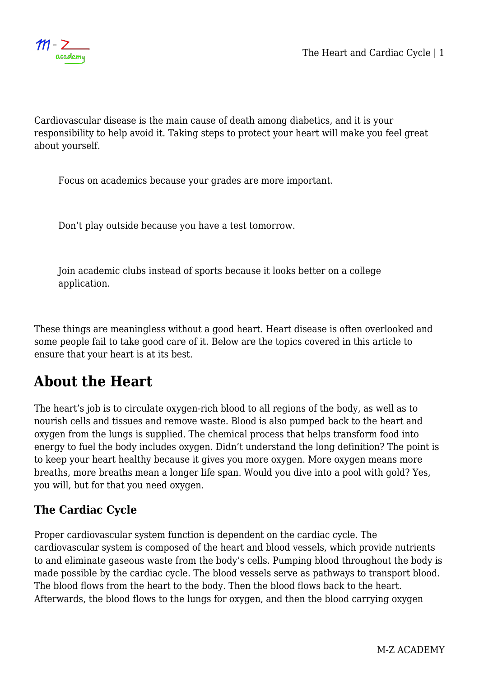Cardiovascular disease is the main cause of death among diabetics, and it is your responsibility to help avoid it. Taking steps to protect your heart will make you feel great about yourself.

Focus on academics because your grades are more important.

Don't play outside because you have a test tomorrow.

Join academic clubs instead of sports because it looks better on a college application.

These things are meaningless without a good heart. Heart disease is often overlooked and some people fail to take good care of it. Below are the topics covered in this article to ensure that your heart is at its best.

# **About the Heart**

The heart's job is to circulate oxygen-rich blood to all regions of the body, as well as to nourish cells and tissues and remove waste. Blood is also pumped back to the heart and oxygen from the lungs is supplied. The chemical process that helps transform food into energy to fuel the body includes oxygen. Didn't understand the long definition? The point is to keep your heart healthy because it gives you more oxygen. More oxygen means more breaths, more breaths mean a longer life span. Would you dive into a pool with gold? Yes, you will, but for that you need oxygen.

### **The Cardiac Cycle**

Proper cardiovascular system function is dependent on the cardiac cycle. The cardiovascular system is composed of the heart and blood vessels, which provide nutrients to and eliminate gaseous waste from the body's cells. Pumping blood throughout the body is made possible by the cardiac cycle. The blood vessels serve as pathways to transport blood. The blood flows from the heart to the body. Then the blood flows back to the heart. Afterwards, the blood flows to the lungs for oxygen, and then the blood carrying oxygen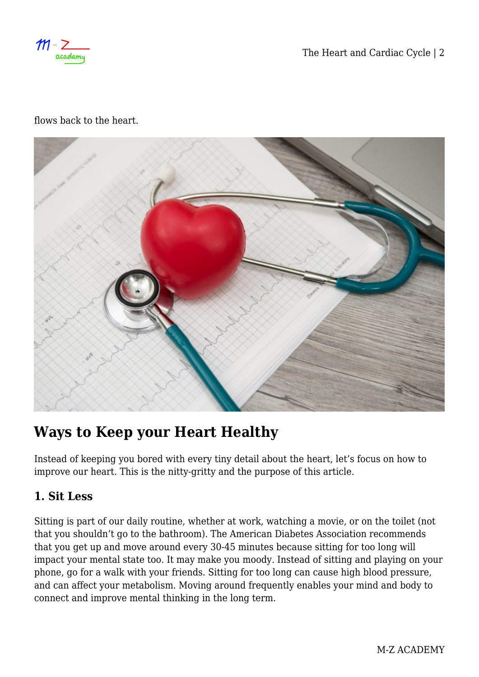$m$ academ

The Heart and Cardiac Cycle | 2

flows back to the heart.



# **Ways to Keep your Heart Healthy**

Instead of keeping you bored with every tiny detail about the heart, let's focus on how to improve our heart. This is the nitty-gritty and the purpose of this article.

### **1. Sit Less**

Sitting is part of our daily routine, whether at work, watching a movie, or on the toilet (not that you shouldn't go to the bathroom). The American Diabetes Association recommends that you get up and move around every 30-45 minutes because sitting for too long will impact your mental state too. It may make you moody. Instead of sitting and playing on your phone, go for a walk with your friends. Sitting for too long can cause high blood pressure, and can affect your metabolism. Moving around frequently enables your mind and body to connect and improve mental thinking in the long term.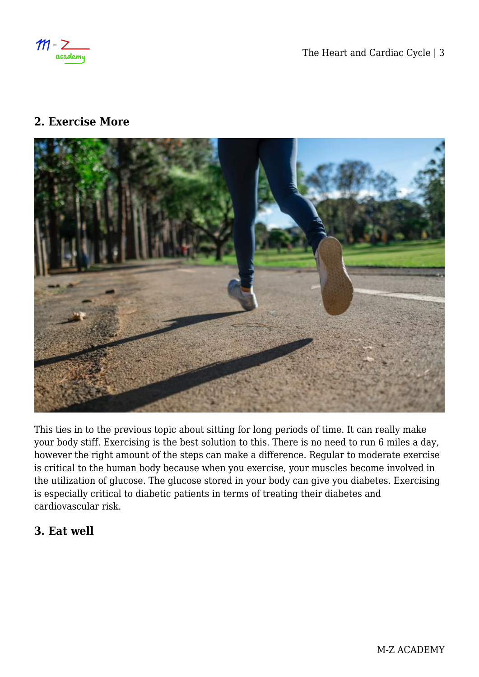$M - 2$ academy

The Heart and Cardiac Cycle | 3

#### **2. Exercise More**



This ties in to the previous topic about sitting for long periods of time. It can really make your body stiff. Exercising is the best solution to this. There is no need to run 6 miles a day, however the right amount of the steps can make a difference. Regular to moderate exercise is critical to the human body because when you exercise, your muscles become involved in the utilization of glucose. The glucose stored in your body can give you diabetes. Exercising is especially critical to diabetic patients in terms of treating their diabetes and cardiovascular risk.

#### **3. Eat well**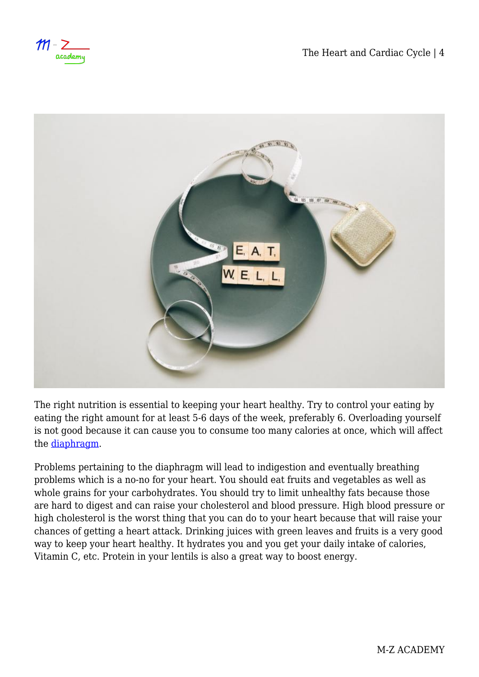$m$ academy



The right nutrition is essential to keeping your heart healthy. Try to control your eating by eating the right amount for at least 5-6 days of the week, preferably 6. Overloading yourself is not good because it can cause you to consume too many calories at once, which will affect the [diaphragm](https://www.healthline.com/human-body-maps/diaphragm#conditions).

Problems pertaining to the diaphragm will lead to indigestion and eventually breathing problems which is a no-no for your heart. You should eat fruits and vegetables as well as whole grains for your carbohydrates. You should try to limit unhealthy fats because those are hard to digest and can raise your cholesterol and blood pressure. High blood pressure or high cholesterol is the worst thing that you can do to your heart because that will raise your chances of getting a heart attack. Drinking juices with green leaves and fruits is a very good way to keep your heart healthy. It hydrates you and you get your daily intake of calories, Vitamin C, etc. Protein in your lentils is also a great way to boost energy.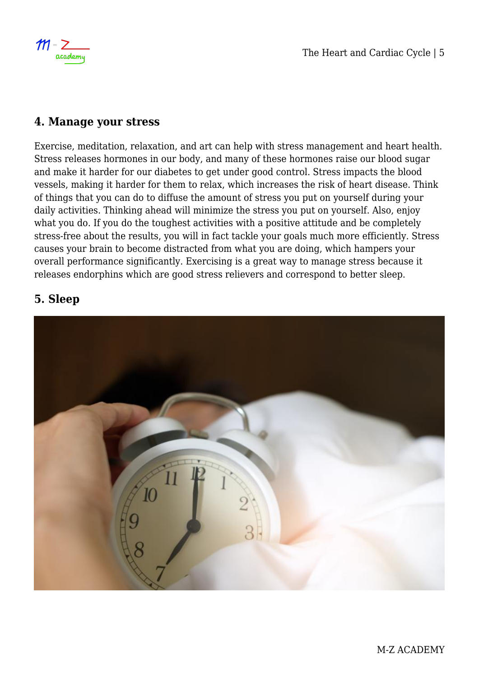

#### **4. Manage your stress**

Exercise, meditation, relaxation, and art can help with stress management and heart health. Stress releases hormones in our body, and many of these hormones raise our blood sugar and make it harder for our diabetes to get under good control. Stress impacts the blood vessels, making it harder for them to relax, which increases the risk of heart disease. Think of things that you can do to diffuse the amount of stress you put on yourself during your daily activities. Thinking ahead will minimize the stress you put on yourself. Also, enjoy what you do. If you do the toughest activities with a positive attitude and be completely stress-free about the results, you will in fact tackle your goals much more efficiently. Stress causes your brain to become distracted from what you are doing, which hampers your overall performance significantly. Exercising is a great way to manage stress because it releases endorphins which are good stress relievers and correspond to better sleep.

#### **5. Sleep**